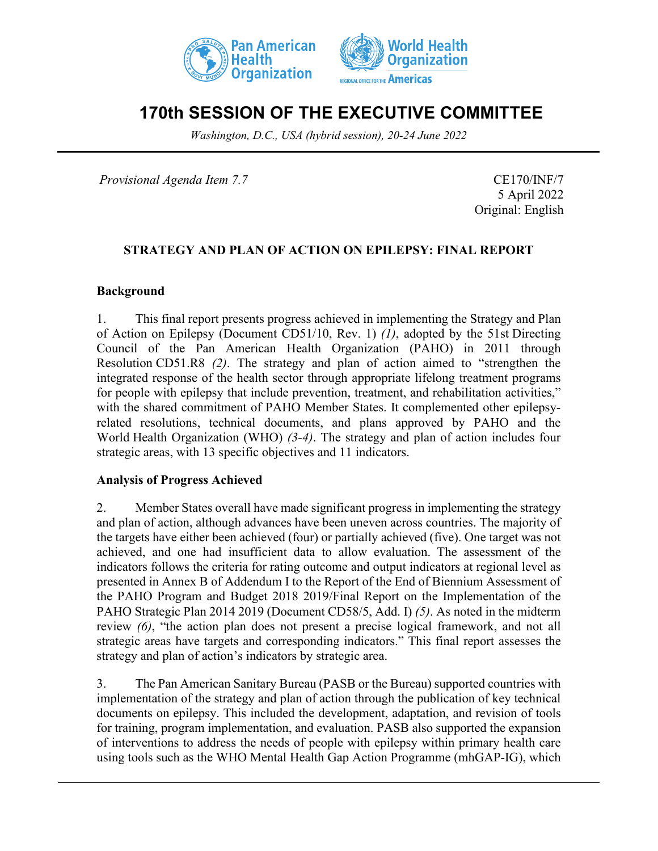



# **170th SESSION OF THE EXECUTIVE COMMITTEE**

*Washington, D.C., USA (hybrid session), 20-24 June 2022*

*Provisional Agenda Item 7.7* CE170/INF/7

5 April 2022 Original: English

### **STRATEGY AND PLAN OF ACTION ON EPILEPSY: FINAL REPORT**

#### **Background**

1. This final report presents progress achieved in implementing the Strategy and Plan of Action on Epilepsy (Document CD51/10, Rev. 1) *(1)*, adopted by the 51st Directing Council of the Pan American Health Organization (PAHO) in 2011 through Resolution CD51.R8 *(2)*. The strategy and plan of action aimed to "strengthen the integrated response of the health sector through appropriate lifelong treatment programs for people with epilepsy that include prevention, treatment, and rehabilitation activities," with the shared commitment of PAHO Member States. It complemented other epilepsyrelated resolutions, technical documents, and plans approved by PAHO and the World Health Organization (WHO) *(3-4)*. The strategy and plan of action includes four strategic areas, with 13 specific objectives and 11 indicators.

#### **Analysis of Progress Achieved**

2. Member States overall have made significant progress in implementing the strategy and plan of action, although advances have been uneven across countries. The majority of the targets have either been achieved (four) or partially achieved (five). One target was not achieved, and one had insufficient data to allow evaluation. The assessment of the indicators follows the criteria for rating outcome and output indicators at regional level as presented in Annex B of Addendum I to the Report of the End of Biennium Assessment of the PAHO Program and Budget 2018 2019/Final Report on the Implementation of the PAHO Strategic Plan 2014 2019 (Document CD58/5, Add. I) *(5)*. As noted in the midterm review *(6)*, "the action plan does not present a precise logical framework, and not all strategic areas have targets and corresponding indicators." This final report assesses the strategy and plan of action's indicators by strategic area.

3. The Pan American Sanitary Bureau (PASB or the Bureau) supported countries with implementation of the strategy and plan of action through the publication of key technical documents on epilepsy. This included the development, adaptation, and revision of tools for training, program implementation, and evaluation. PASB also supported the expansion of interventions to address the needs of people with epilepsy within primary health care using tools such as the WHO Mental Health Gap Action Programme (mhGAP-IG), which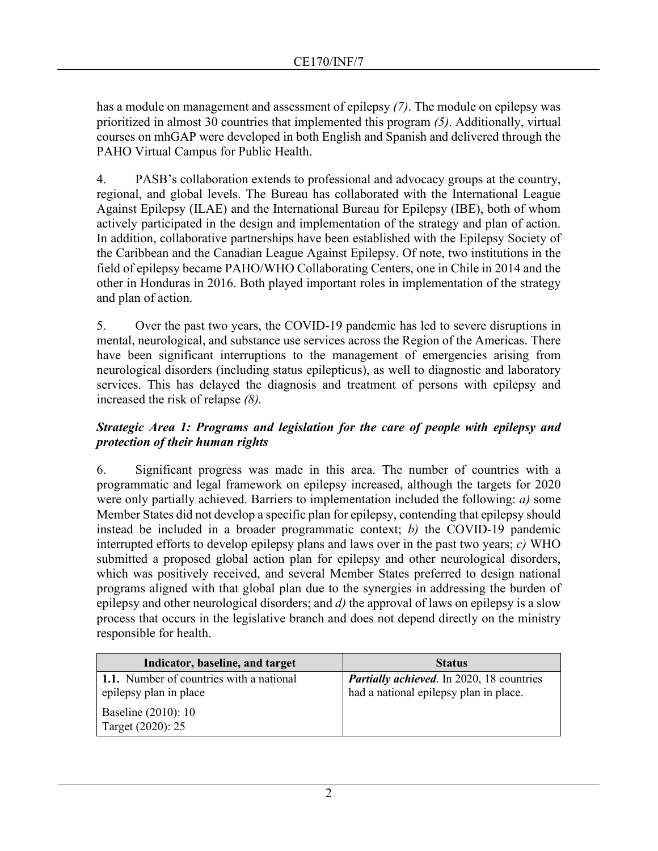has a module on management and assessment of epilepsy *(7)*. The module on epilepsy was prioritized in almost 30 countries that implemented this program *(5)*. Additionally, virtual courses on mhGAP were developed in both English and Spanish and delivered through the PAHO Virtual Campus for Public Health.

4. PASB's collaboration extends to professional and advocacy groups at the country, regional, and global levels. The Bureau has collaborated with the International League Against Epilepsy (ILAE) and the International Bureau for Epilepsy (IBE), both of whom actively participated in the design and implementation of the strategy and plan of action. In addition, collaborative partnerships have been established with the Epilepsy Society of the Caribbean and the Canadian League Against Epilepsy. Of note, two institutions in the field of epilepsy became PAHO/WHO Collaborating Centers, one in Chile in 2014 and the other in Honduras in 2016. Both played important roles in implementation of the strategy and plan of action.

5. Over the past two years, the COVID-19 pandemic has led to severe disruptions in mental, neurological, and substance use services across the Region of the Americas. There have been significant interruptions to the management of emergencies arising from neurological disorders (including status epilepticus), as well to diagnostic and laboratory services. This has delayed the diagnosis and treatment of persons with epilepsy and increased the risk of relapse *(8).*

## *Strategic Area 1: Programs and legislation for the care of people with epilepsy and protection of their human rights*

6. Significant progress was made in this area. The number of countries with a programmatic and legal framework on epilepsy increased, although the targets for 2020 were only partially achieved. Barriers to implementation included the following: *a)* some Member States did not develop a specific plan for epilepsy, contending that epilepsy should instead be included in a broader programmatic context; *b)* the COVID-19 pandemic interrupted efforts to develop epilepsy plans and laws over in the past two years; *c)* WHO submitted a proposed global action plan for epilepsy and other neurological disorders, which was positively received, and several Member States preferred to design national programs aligned with that global plan due to the synergies in addressing the burden of epilepsy and other neurological disorders; and *d)* the approval of laws on epilepsy is a slow process that occurs in the legislative branch and does not depend directly on the ministry responsible for health.

| Indicator, baseline, and target                                           | <b>Status</b>                                                                              |
|---------------------------------------------------------------------------|--------------------------------------------------------------------------------------------|
| <b>1.1.</b> Number of countries with a national<br>epilepsy plan in place | <b>Partially achieved.</b> In 2020, 18 countries<br>had a national epilepsy plan in place. |
| Baseline (2010): 10<br>Target (2020): 25                                  |                                                                                            |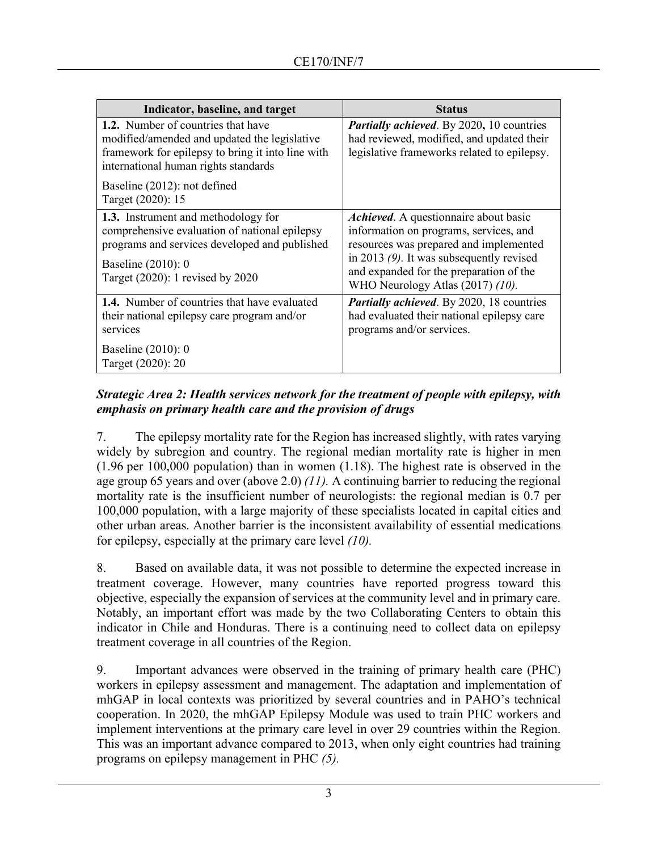| Indicator, baseline, and target                                                                                                                                                                        | <b>Status</b>                                                                                                                                                                                                                                           |
|--------------------------------------------------------------------------------------------------------------------------------------------------------------------------------------------------------|---------------------------------------------------------------------------------------------------------------------------------------------------------------------------------------------------------------------------------------------------------|
| <b>1.2.</b> Number of countries that have<br>modified/amended and updated the legislative<br>framework for epilepsy to bring it into line with<br>international human rights standards                 | <b>Partially achieved.</b> By 2020, 10 countries<br>had reviewed, modified, and updated their<br>legislative frameworks related to epilepsy.                                                                                                            |
| Baseline (2012): not defined<br>Target (2020): 15                                                                                                                                                      |                                                                                                                                                                                                                                                         |
| <b>1.3.</b> Instrument and methodology for<br>comprehensive evaluation of national epilepsy<br>programs and services developed and published<br>Baseline (2010): 0<br>Target (2020): 1 revised by 2020 | Achieved. A questionnaire about basic<br>information on programs, services, and<br>resources was prepared and implemented<br>in 2013 $(9)$ . It was subsequently revised<br>and expanded for the preparation of the<br>WHO Neurology Atlas (2017) (10). |
| <b>1.4.</b> Number of countries that have evaluated<br>their national epilepsy care program and/or<br>services                                                                                         | <b>Partially achieved.</b> By 2020, 18 countries<br>had evaluated their national epilepsy care<br>programs and/or services.                                                                                                                             |
| Baseline (2010): 0<br>Target (2020): 20                                                                                                                                                                |                                                                                                                                                                                                                                                         |

# *Strategic Area 2: Health services network for the treatment of people with epilepsy, with emphasis on primary health care and the provision of drugs*

7. The epilepsy mortality rate for the Region has increased slightly, with rates varying widely by subregion and country. The regional median mortality rate is higher in men (1.96 per 100,000 population) than in women (1.18). The highest rate is observed in the age group 65 years and over (above 2.0) *(11).* A continuing barrier to reducing the regional mortality rate is the insufficient number of neurologists: the regional median is 0.7 per 100,000 population, with a large majority of these specialists located in capital cities and other urban areas. Another barrier is the inconsistent availability of essential medications for epilepsy, especially at the primary care level *(10).*

8. Based on available data, it was not possible to determine the expected increase in treatment coverage. However, many countries have reported progress toward this objective, especially the expansion of services at the community level and in primary care. Notably, an important effort was made by the two Collaborating Centers to obtain this indicator in Chile and Honduras. There is a continuing need to collect data on epilepsy treatment coverage in all countries of the Region.

9. Important advances were observed in the training of primary health care (PHC) workers in epilepsy assessment and management. The adaptation and implementation of mhGAP in local contexts was prioritized by several countries and in PAHO's technical cooperation. In 2020, the mhGAP Epilepsy Module was used to train PHC workers and implement interventions at the primary care level in over 29 countries within the Region. This was an important advance compared to 2013, when only eight countries had training programs on epilepsy management in PHC *(5).*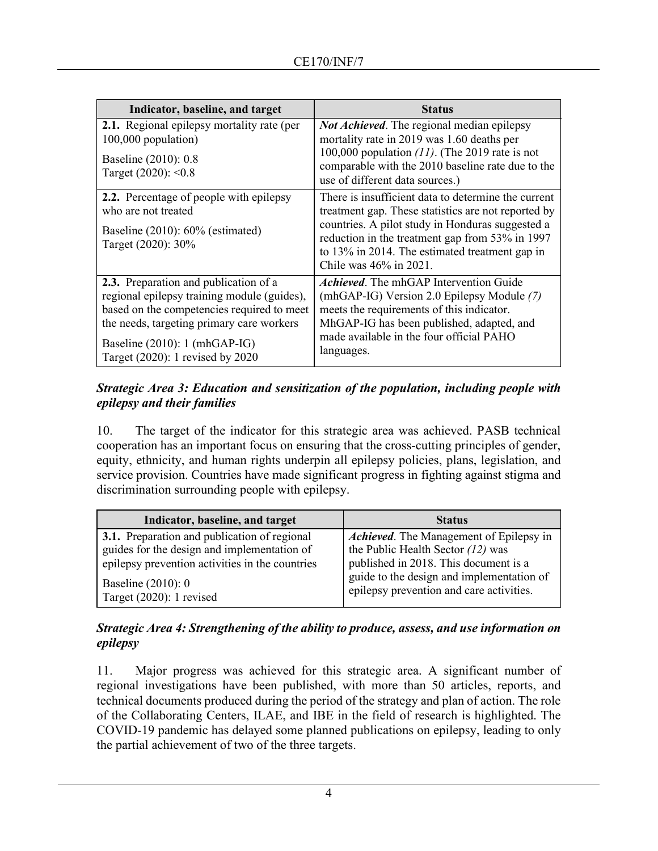| Indicator, baseline, and target                                                                                                                                                                                                                      | <b>Status</b>                                                                                                                                                                                                                                                                                 |
|------------------------------------------------------------------------------------------------------------------------------------------------------------------------------------------------------------------------------------------------------|-----------------------------------------------------------------------------------------------------------------------------------------------------------------------------------------------------------------------------------------------------------------------------------------------|
| <b>2.1.</b> Regional epilepsy mortality rate (per<br>$100,000$ population)<br>Baseline (2010): 0.8<br>Target $(2020)$ : < 0.8                                                                                                                        | <b>Not Achieved.</b> The regional median epilepsy<br>mortality rate in 2019 was 1.60 deaths per<br>100,000 population $(11)$ . (The 2019 rate is not<br>comparable with the 2010 baseline rate due to the<br>use of different data sources.)                                                  |
| 2.2. Percentage of people with epilepsy<br>who are not treated<br>Baseline $(2010)$ : 60% (estimated)<br>Target (2020): 30%                                                                                                                          | There is insufficient data to determine the current<br>treatment gap. These statistics are not reported by<br>countries. A pilot study in Honduras suggested a<br>reduction in the treatment gap from 53% in 1997<br>to 13% in 2014. The estimated treatment gap in<br>Chile was 46% in 2021. |
| 2.3. Preparation and publication of a<br>regional epilepsy training module (guides),<br>based on the competencies required to meet<br>the needs, targeting primary care workers<br>Baseline (2010): 1 (mhGAP-IG)<br>Target (2020): 1 revised by 2020 | <i>Achieved.</i> The mhGAP Intervention Guide<br>(mhGAP-IG) Version 2.0 Epilepsy Module (7)<br>meets the requirements of this indicator.<br>MhGAP-IG has been published, adapted, and<br>made available in the four official PAHO<br>languages.                                               |

# *Strategic Area 3: Education and sensitization of the population, including people with epilepsy and their families*

10. The target of the indicator for this strategic area was achieved. PASB technical cooperation has an important focus on ensuring that the cross-cutting principles of gender, equity, ethnicity, and human rights underpin all epilepsy policies, plans, legislation, and service provision. Countries have made significant progress in fighting against stigma and discrimination surrounding people with epilepsy.

| Indicator, baseline, and target                 | <b>Status</b>                                  |
|-------------------------------------------------|------------------------------------------------|
| 3.1. Preparation and publication of regional    | <i>Achieved.</i> The Management of Epilepsy in |
| guides for the design and implementation of     | the Public Health Sector $(12)$ was            |
| epilepsy prevention activities in the countries | published in 2018. This document is a          |
| Baseline $(2010)$ : 0                           | guide to the design and implementation of      |
| Target (2020): 1 revised                        | epilepsy prevention and care activities.       |

# *Strategic Area 4: Strengthening of the ability to produce, assess, and use information on epilepsy*

11. Major progress was achieved for this strategic area. A significant number of regional investigations have been published, with more than 50 articles, reports, and technical documents produced during the period of the strategy and plan of action. The role of the Collaborating Centers, ILAE, and IBE in the field of research is highlighted. The COVID-19 pandemic has delayed some planned publications on epilepsy, leading to only the partial achievement of two of the three targets.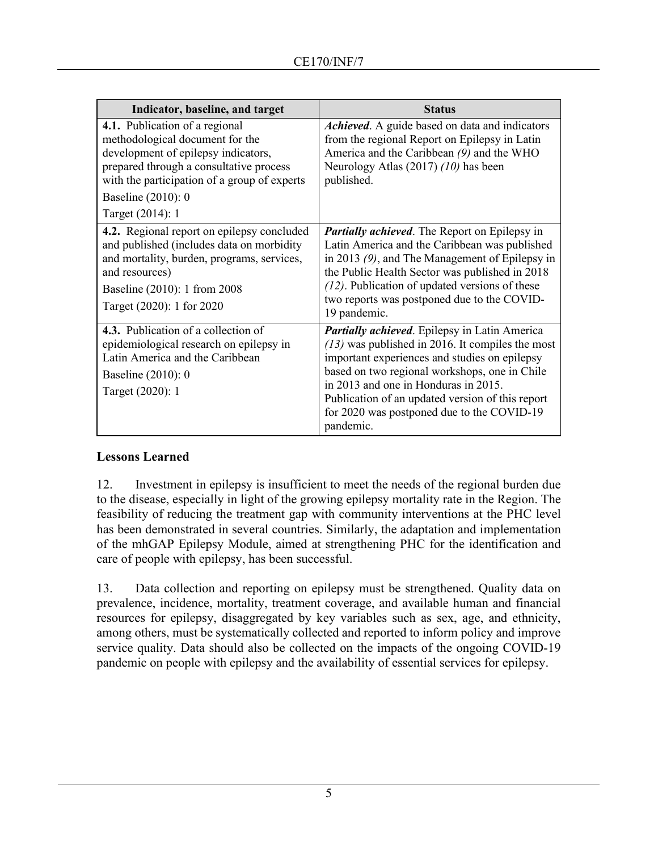| Indicator, baseline, and target                                                                                                                                                                                                               | <b>Status</b>                                                                                                                                                                                                                                                                                                                                                       |
|-----------------------------------------------------------------------------------------------------------------------------------------------------------------------------------------------------------------------------------------------|---------------------------------------------------------------------------------------------------------------------------------------------------------------------------------------------------------------------------------------------------------------------------------------------------------------------------------------------------------------------|
| 4.1. Publication of a regional<br>methodological document for the<br>development of epilepsy indicators,<br>prepared through a consultative process<br>with the participation of a group of experts<br>Baseline (2010): 0<br>Target (2014): 1 | Achieved. A guide based on data and indicators<br>from the regional Report on Epilepsy in Latin<br>America and the Caribbean (9) and the WHO<br>Neurology Atlas (2017) (10) has been<br>published.                                                                                                                                                                  |
| 4.2. Regional report on epilepsy concluded<br>and published (includes data on morbidity<br>and mortality, burden, programs, services,<br>and resources)<br>Baseline (2010): 1 from 2008<br>Target (2020): 1 for 2020                          | <b>Partially achieved.</b> The Report on Epilepsy in<br>Latin America and the Caribbean was published<br>in 2013 (9), and The Management of Epilepsy in<br>the Public Health Sector was published in 2018<br>$(12)$ . Publication of updated versions of these<br>two reports was postponed due to the COVID-<br>19 pandemic.                                       |
| 4.3. Publication of a collection of<br>epidemiological research on epilepsy in<br>Latin America and the Caribbean<br>Baseline (2010): 0<br>Target (2020): 1                                                                                   | <b>Partially achieved.</b> Epilepsy in Latin America<br>$(13)$ was published in 2016. It compiles the most<br>important experiences and studies on epilepsy<br>based on two regional workshops, one in Chile<br>in 2013 and one in Honduras in 2015.<br>Publication of an updated version of this report<br>for 2020 was postponed due to the COVID-19<br>pandemic. |

## **Lessons Learned**

12. Investment in epilepsy is insufficient to meet the needs of the regional burden due to the disease, especially in light of the growing epilepsy mortality rate in the Region. The feasibility of reducing the treatment gap with community interventions at the PHC level has been demonstrated in several countries. Similarly, the adaptation and implementation of the mhGAP Epilepsy Module, aimed at strengthening PHC for the identification and care of people with epilepsy, has been successful.

13. Data collection and reporting on epilepsy must be strengthened. Quality data on prevalence, incidence, mortality, treatment coverage, and available human and financial resources for epilepsy, disaggregated by key variables such as sex, age, and ethnicity, among others, must be systematically collected and reported to inform policy and improve service quality. Data should also be collected on the impacts of the ongoing COVID-19 pandemic on people with epilepsy and the availability of essential services for epilepsy.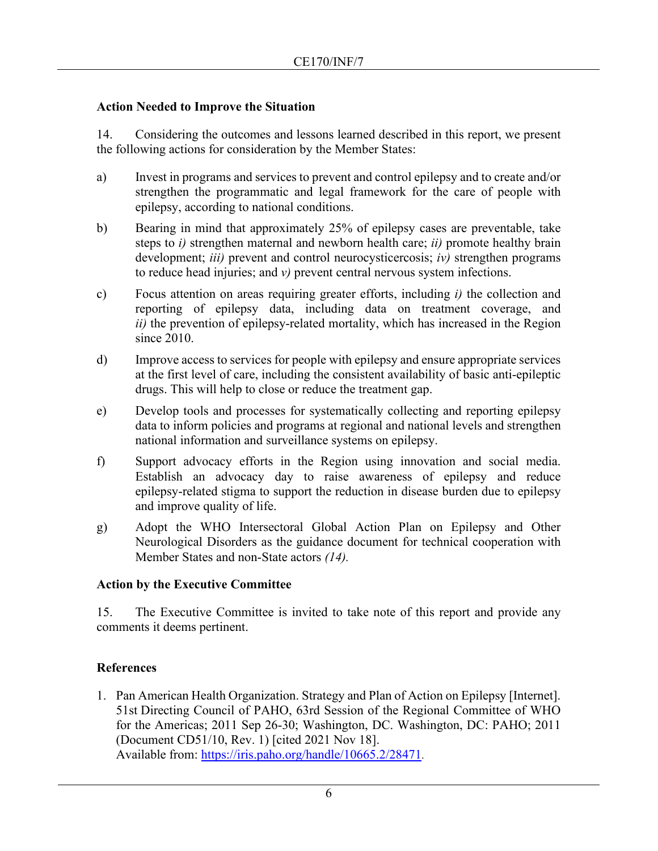### **Action Needed to Improve the Situation**

14. Considering the outcomes and lessons learned described in this report, we present the following actions for consideration by the Member States:

- a) Invest in programs and services to prevent and control epilepsy and to create and/or strengthen the programmatic and legal framework for the care of people with epilepsy, according to national conditions.
- b) Bearing in mind that approximately 25% of epilepsy cases are preventable, take steps to *i)* strengthen maternal and newborn health care; *ii)* promote healthy brain development; *iii)* prevent and control neurocysticercosis; *iv)* strengthen programs to reduce head injuries; and *v)* prevent central nervous system infections.
- c) Focus attention on areas requiring greater efforts, including *i)* the collection and reporting of epilepsy data, including data on treatment coverage, and *ii)* the prevention of epilepsy-related mortality, which has increased in the Region since 2010.
- d) Improve access to services for people with epilepsy and ensure appropriate services at the first level of care, including the consistent availability of basic anti-epileptic drugs. This will help to close or reduce the treatment gap.
- e) Develop tools and processes for systematically collecting and reporting epilepsy data to inform policies and programs at regional and national levels and strengthen national information and surveillance systems on epilepsy.
- f) Support advocacy efforts in the Region using innovation and social media. Establish an advocacy day to raise awareness of epilepsy and reduce epilepsy-related stigma to support the reduction in disease burden due to epilepsy and improve quality of life.
- g) Adopt the WHO Intersectoral Global Action Plan on Epilepsy and Other Neurological Disorders as the guidance document for technical cooperation with Member States and non-State actors *(14).*

## **Action by the Executive Committee**

15. The Executive Committee is invited to take note of this report and provide any comments it deems pertinent.

## **References**

1. Pan American Health Organization. Strategy and Plan of Action on Epilepsy [Internet]. 51st Directing Council of PAHO, 63rd Session of the Regional Committee of WHO for the Americas; 2011 Sep 26-30; Washington, DC. Washington, DC: PAHO; 2011 (Document CD51/10, Rev. 1) [cited 2021 Nov 18]. Available from: [https://iris.paho.org/handle/10665.2/28471.](https://iris.paho.org/handle/10665.2/28471)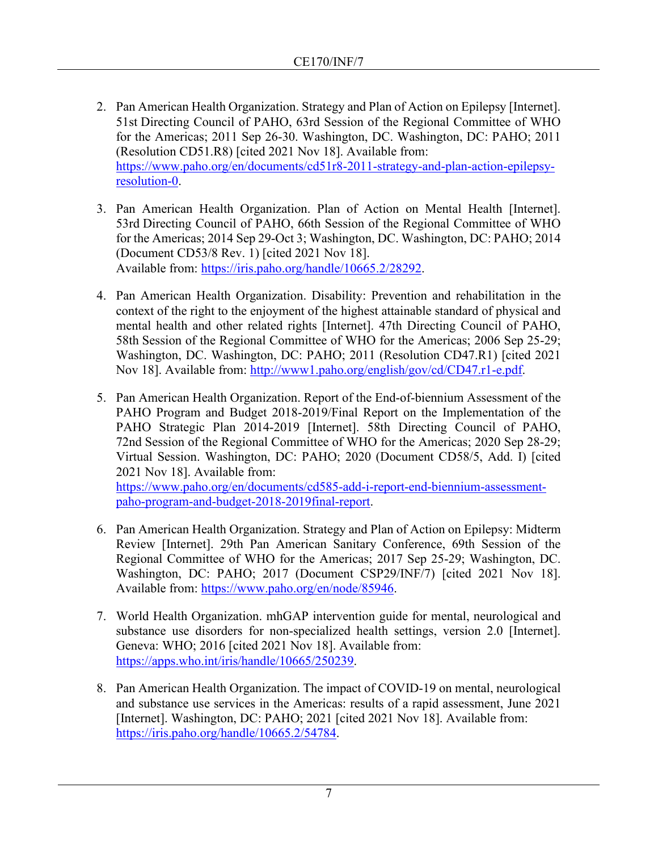- 2. Pan American Health Organization. Strategy and Plan of Action on Epilepsy [Internet]. 51st Directing Council of PAHO, 63rd Session of the Regional Committee of WHO for the Americas; 2011 Sep 26-30. Washington, DC. Washington, DC: PAHO; 2011 (Resolution CD51.R8) [cited 2021 Nov 18]. Available from: [https://www.paho.org/en/documents/cd51r8-2011-strategy-and-plan-action-epilepsy](https://www.paho.org/en/documents/cd51r8-2011-strategy-and-plan-action-epilepsy-resolution-0)[resolution-0.](https://www.paho.org/en/documents/cd51r8-2011-strategy-and-plan-action-epilepsy-resolution-0)
- 3. Pan American Health Organization. Plan of Action on Mental Health [Internet]. 53rd Directing Council of PAHO, 66th Session of the Regional Committee of WHO for the Americas; 2014 Sep 29-Oct 3; Washington, DC. Washington, DC: PAHO; 2014 (Document CD53/8 Rev. 1) [cited 2021 Nov 18]. Available from: [https://iris.paho.org/handle/10665.2/28292.](https://iris.paho.org/handle/10665.2/28292)
- 4. Pan American Health Organization. Disability: Prevention and rehabilitation in the context of the right to the enjoyment of the highest attainable standard of physical and mental health and other related rights [Internet]. 47th Directing Council of PAHO, 58th Session of the Regional Committee of WHO for the Americas; 2006 Sep 25-29; Washington, DC. Washington, DC: PAHO; 2011 (Resolution CD47.R1) [cited 2021 Nov 18]. Available from: [http://www1.paho.org/english/gov/cd/CD47.r1-e.pdf.](http://www1.paho.org/english/gov/cd/CD47.r1-e.pdf)
- 5. Pan American Health Organization. Report of the End-of-biennium Assessment of the PAHO Program and Budget 2018-2019/Final Report on the Implementation of the PAHO Strategic Plan 2014-2019 [Internet]. 58th Directing Council of PAHO, 72nd Session of the Regional Committee of WHO for the Americas; 2020 Sep 28-29; Virtual Session. Washington, DC: PAHO; 2020 (Document CD58/5, Add. I) [cited 2021 Nov 18]. Available from:

[https://www.paho.org/en/documents/cd585-add-i-report-end-biennium-assessment](https://www.paho.org/en/documents/cd585-add-i-report-end-biennium-assessment-paho-program-and-budget-2018-2019final-report)[paho-program-and-budget-2018-2019final-report.](https://www.paho.org/en/documents/cd585-add-i-report-end-biennium-assessment-paho-program-and-budget-2018-2019final-report)

- 6. Pan American Health Organization. Strategy and Plan of Action on Epilepsy: Midterm Review [Internet]. 29th Pan American Sanitary Conference, 69th Session of the Regional Committee of WHO for the Americas; 2017 Sep 25-29; Washington, DC. Washington, DC: PAHO; 2017 (Document CSP29/INF/7) [cited 2021 Nov 18]. Available from: [https://www.paho.org/en/node/85946.](https://www.paho.org/en/node/85946)
- 7. World Health Organization. mhGAP intervention guide for mental, neurological and substance use disorders for non-specialized health settings, version 2.0 [Internet]. Geneva: WHO; 2016 [cited 2021 Nov 18]. Available from: [https://apps.who.int/iris/handle/10665/250239.](https://apps.who.int/iris/handle/10665/250239)
- 8. Pan American Health Organization. The impact of COVID-19 on mental, neurological and substance use services in the Americas: results of a rapid assessment, June 2021 [Internet]. Washington, DC: PAHO; 2021 [cited 2021 Nov 18]. Available from: [https://iris.paho.org/handle/10665.2/54784.](https://iris.paho.org/handle/10665.2/54784)